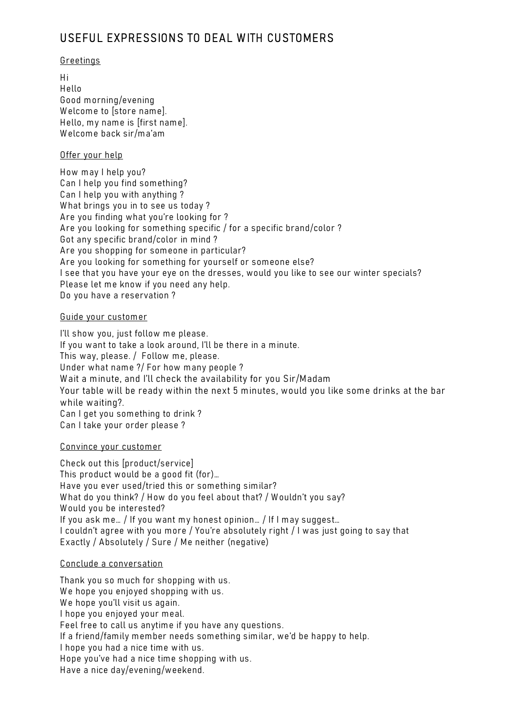# USEFUL EXPRESSIONS TO DEAL WITH CUSTOMERS

#### Greetings

H i H ello Good m orning/evening Welcome to [store name]. Hello, my name is [first name]. W elcom e back sir/m a'am

### Offer your help

How may I help you? Can I help you find something? Can I help you with anything ? What brings you in to see us today? Are you finding what you're looking for ? Are you looking for something specific / for a specific brand/color ? Got any specific brand/color in mind? Are you shopping for someone in particular? Are you looking for something for yourself or someone else? I see that you have your eye on the dresses, would you like to see our winter specials? Please let me know if you need any help. Do you have a reservation ?

### Guide your custom er

I'll show you, just follow me please. If you want to take a look around, I'll be there in a minute. This way, please. / Follow me, please. Under what name ?/ For how many people ? W ait a minute, and I'll check the availability for you Sir/Madam Your table will be ready within the next 5 minutes, would you like some drinks at the bar while waiting?. Can I get you something to drink? Can I take your order please ?

Convince your custom er

Check out this [product/service] This product would be a good fit (for)... Have you ever used/tried this or something similar? What do you think? / How do you feel about that? / Wouldn't you say? Would you be interested? If you ask me... / If you want my honest opinion... / If I may suggest... I couldn't agree with you more / You're absolutely right / I was just going to say that Exactly / Absolutely / Sure / Me neither (negative)

### Conclude a conversation

Thank you so much for shopping with us. We hope you enjoyed shopping with us. We hope you'll visit us again. I hope you enjoyed your meal. Feel free to call us anytime if you have any questions. If a friend/family member needs something similar, we'd be happy to help. I hope you had a nice time with us. Hope you've had a nice time shopping with us. Have a nice day/evening/weekend.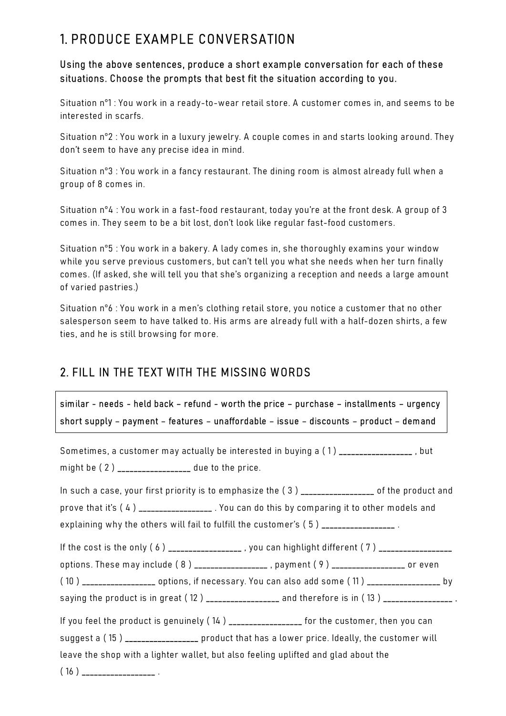# 1. PRODUCE EXAMPLE CONVERSATION

### Using the above sentences, produce a short example conversation for each of these situations. Choose the prompts that best fit the situation according to you.

Situation n°1 : You work in a ready-to-wear retail store. A customer comes in, and seems to be interested in scarfs.

Situation n°2 : You work in a luxury jewelry. A couple comes in and starts looking around. They don't seem to have any precise idea in mind.

Situation n°3 : You work in a fancy restaurant. The dining room is almost already full when a group of 8 com es in.

Situation n°4 : You work in a fast-food restaurant, today you're at the front desk. A group of 3 com es in. They seem to be a bit lost, don't look like regular fast-food custom ers.

Situation n°5 : You work in a bakery. A lady comes in, she thoroughly examins your window while you serve previous customers, but can't tell you what she needs when her turn finally com es. (If asked, she will tell you that she's organizing a reception and needs a large am ount of varied pastries.)

Situation n°6 : You work in a men's clothing retail store, you notice a customer that no other salesperson seem to have talked to. His arms are already full with a half-dozen shirts, a few ties, and he is still browsing for more.

# 2. FILL IN THE TEXT WITH THE MISSING WORDS

sim ilar - needs - held back – refund - worth the price – purchase – installm ents – urgency short supply - payment - features - unaffordable - issue - discounts - product - demand

| Sometimes, a customer may actually be interested in buying a (1) ________________, but              |  |
|-----------------------------------------------------------------------------------------------------|--|
| might be (2) _________________ due to the price.                                                    |  |
| In such a case, your first priority is to emphasize the (3) _________________ of the product and    |  |
| prove that it's (4) _________________. You can do this by comparing it to other models and          |  |
| explaining why the others will fail to fulfill the customer's (5) ________________.                 |  |
| If the cost is the only (6) __________________, you can highlight different (7) _________________   |  |
| options. These may include (8) ________________, payment (9) ________________ or even               |  |
| (10) __________________ options, if necessary. You can also add some (11) __________________ by     |  |
| saying the product is in great (12 ) ________________ and therefore is in (13 ) __________________. |  |
| If you feel the product is genuinely (14) _________________ for the customer, then you can          |  |
| suggest a (15) _________________ product that has a lower price. Ideally, the customer will         |  |
| leave the shop with a lighter wallet, but also feeling uplifted and glad about the                  |  |
|                                                                                                     |  |